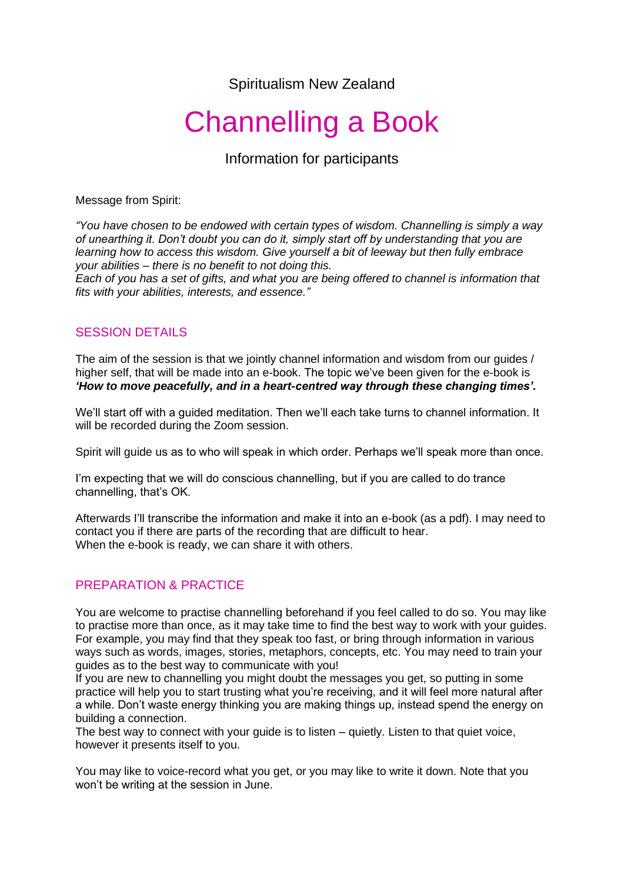Spiritualism New Zealand

# Channelling a Book

Information for participants

Message from Spirit:

*"You have chosen to be endowed with certain types of wisdom. Channelling is simply a way of unearthing it. Don't doubt you can do it, simply start off by understanding that you are learning how to access this wisdom. Give yourself a bit of leeway but then fully embrace your abilities – there is no benefit to not doing this.*

*Each of you has a set of gifts, and what you are being offered to channel is information that fits with your abilities, interests, and essence."*

# SESSION DETAILS

The aim of the session is that we jointly channel information and wisdom from our guides / higher self, that will be made into an e-book. The topic we've been given for the e-book is *'How to move peacefully, and in a heart-centred way through these changing times'.*

We'll start off with a guided meditation. Then we'll each take turns to channel information. It will be recorded during the Zoom session.

Spirit will guide us as to who will speak in which order. Perhaps we'll speak more than once.

I'm expecting that we will do conscious channelling, but if you are called to do trance channelling, that's OK.

Afterwards I'll transcribe the information and make it into an e-book (as a pdf). I may need to contact you if there are parts of the recording that are difficult to hear. When the e-book is ready, we can share it with others.

# PREPARATION & PRACTICE

You are welcome to practise channelling beforehand if you feel called to do so. You may like to practise more than once, as it may take time to find the best way to work with your guides. For example, you may find that they speak too fast, or bring through information in various ways such as words, images, stories, metaphors, concepts, etc. You may need to train your guides as to the best way to communicate with you!

If you are new to channelling you might doubt the messages you get, so putting in some practice will help you to start trusting what you're receiving, and it will feel more natural after a while. Don't waste energy thinking you are making things up, instead spend the energy on building a connection.

The best way to connect with your guide is to listen – quietly. Listen to that quiet voice, however it presents itself to you.

You may like to voice-record what you get, or you may like to write it down. Note that you won't be writing at the session in June.